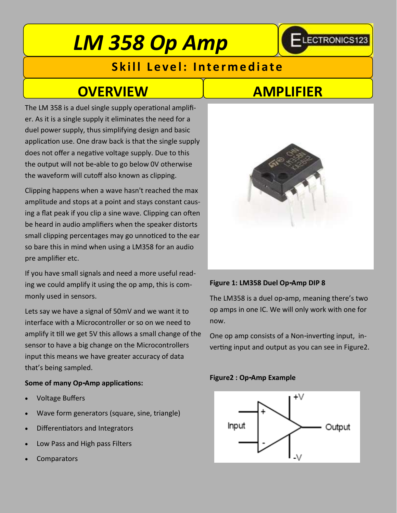# *LM 358 Op Amp*

### **Skill Level: Intermediate**

## **OVERVIEW AMPLIFIER**

The LM 358 is a duel single supply operational amplifier. As it is a single supply it eliminates the need for a duel power supply, thus simplifying design and basic application use. One draw back is that the single supply does not offer a negative voltage supply. Due to this the output will not be-able to go below 0V otherwise the waveform will cutoff also known as clipping.

Clipping happens when a wave hasn't reached the max amplitude and stops at a point and stays constant causing a flat peak if you clip a sine wave. Clipping can often be heard in audio amplifiers when the speaker distorts small clipping percentages may go unnoticed to the ear so bare this in mind when using a LM358 for an audio pre amplifier etc.

If you have small signals and need a more useful reading we could amplify it using the op amp, this is commonly used in sensors.

Lets say we have a signal of 50mV and we want it to interface with a Microcontroller or so on we need to amplify it till we get 5V this allows a small change of the sensor to have a big change on the Microcontrollers input this means we have greater accuracy of data that's being sampled.

### **Some of many Op-Amp applications:**

- Voltage Buffers
- Wave form generators (square, sine, triangle)
- Differentiators and Integrators
- Low Pass and High pass Filters
- Comparators

-LECTRONICS123



#### **Figure 1: LM358 Duel Op-Amp DIP 8**

The LM358 is a duel op-amp, meaning there's two op amps in one IC. We will only work with one for now.

One op amp consists of a Non-inverting input, inverting input and output as you can see in Figure2.

#### **Figure2 : Op-Amp Example**

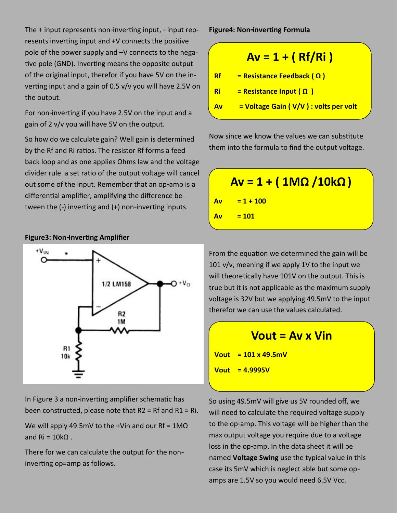The + input represents non-inverting input, - input represents inverting input and +V connects the positive pole of the power supply and –V connects to the negative pole (GND). Inverting means the opposite output of the original input, therefor if you have 5V on the inverting input and a gain of 0.5 v/v you will have 2.5V on the output.

For non-inverting if you have 2.5V on the input and a gain of 2 v/v you will have 5V on the output.

So how do we calculate gain? Well gain is determined by the Rf and Ri ratios. The resistor Rf forms a feed back loop and as one applies Ohms law and the voltage divider rule a set ratio of the output voltage will cancel out some of the input. Remember that an op-amp is a differential amplifier, amplifying the difference between the (-) inverting and (+) non-inverting inputs.

 $+V_{1N}$ 1/2 LM158  $+V<sub>O</sub>$ R<sub>2</sub> 1M R1  $10k$ 

In Figure 3 a non-inverting amplifier schematic has been constructed, please note that R2 = Rf and R1 = Ri.

We will apply 49.5mV to the +Vin and our Rf =  $1M\Omega$ and  $Ri = 10kQ$ .

There for we can calculate the output for the noninverting op=amp as follows.

**Figure4: Non-inverting Formula** 

|    | $Av = 1 + (Rf/Ri)$                    |
|----|---------------------------------------|
| Rf | $=$ Resistance Feedback ( $\Omega$ )  |
| Ri | $=$ Resistance Input (Ω)              |
| Av | = Voltage Gain (V/V) : volts per volt |

Now since we know the values we can substitute them into the formula to find the output voltage.

|           | $Av = 1 + (1 M\Omega / 10 k\Omega)$ |  |
|-----------|-------------------------------------|--|
| <b>Av</b> | $= 1 + 100$                         |  |
| <b>Av</b> | $= 101$                             |  |
|           |                                     |  |

From the equation we determined the gain will be 101 v/v, meaning if we apply 1V to the input we will theoretically have 101V on the output. This is true but it is not applicable as the maximum supply voltage is 32V but we applying 49.5mV to the input therefor we can use the values calculated.



**Vout = 101 x 49.5mV Vout = 4.9995V**

So using 49.5mV will give us 5V rounded off, we will need to calculate the required voltage supply to the op-amp. This voltage will be higher than the max output voltage you require due to a voltage loss in the op-amp. In the data sheet it will be named **Voltage Swing** use the typical value in this case its 5mV which is neglect able but some opamps are 1.5V so you would need 6.5V Vcc.

#### **Figure3: Non-Inverting Amplifier**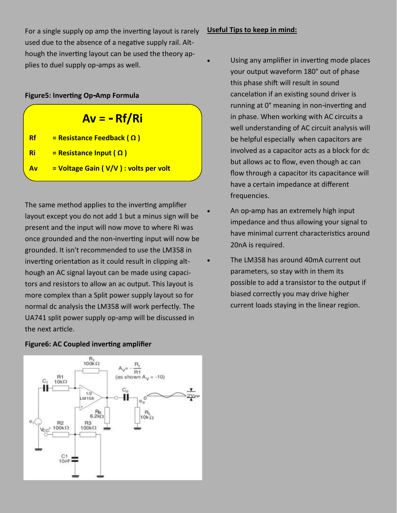For a single supply op amp the inverting layout is rarely used due to the absence of a negative supply rail. Although the inverting layout can be used the theory applies to duel supply op-amps as well.

#### **Figure5: Inverting Op-Amp Formula**

| $Av = -Rf/Ri$ |  |  |
|---------------|--|--|
|---------------|--|--|

- **Rf = Resistance Feedback ( Ω )**
- **Ri = Resistance Input ( Ω )**
- **Av = Voltage Gain ( V/V ) : volts per volt**

The same method applies to the inverting amplifier layout except you do not add 1 but a minus sign will be present and the input will now move to where Ri was once grounded and the non-inverting input will now be grounded. It isn't recommended to use the LM358 in inverting orientation as it could result in clipping although an AC signal layout can be made using capacitors and resistors to allow an ac output. This layout is more complex than a Split power supply layout so for normal dc analysis the LM358 will work perfectly. The UA741 split power supply op-amp will be discussed in the next article.

### **Figure6: AC Coupled inverting amplifier**



### **Useful Tips to keep in mind:**

- Using any amplifier in inverting mode places your output waveform 180° out of phase this phase shift will result in sound cancelation if an existing sound driver is running at 0° meaning in non-inverting and in phase. When working with AC circuits a well understanding of AC circuit analysis will be helpful especially when capacitors are involved as a capacitor acts as a block for dc but allows ac to flow, even though ac can flow through a capacitor its capacitance will have a certain impedance at different frequencies.
- An op-amp has an extremely high input impedance and thus allowing your signal to have minimal current characteristics around 20nA is required.
- The LM358 has around 40mA current out parameters, so stay with in them its possible to add a transistor to the output if biased correctly you may drive higher current loads staying in the linear region.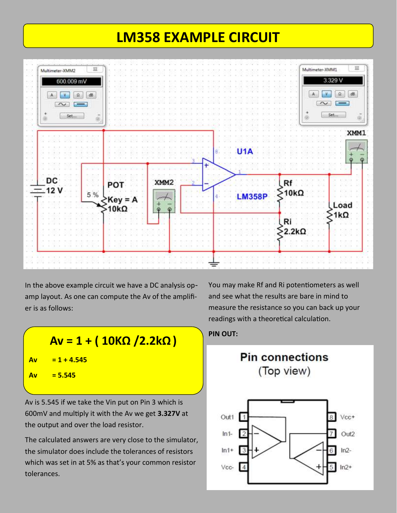### **LM358 EXAMPLE CIRCUIT**



In the above example circuit we have a DC analysis opamp layout. As one can compute the Av of the amplifier is as follows:

 $A$ v = 1 + ( 10ΚΩ /2.2kΩ ) PIN OUT: **Av = 1 + 4.545 Av = 5.545**

Av is 5.545 if we take the Vin put on Pin 3 which is 600mV and multiply it with the Av we get **3.327V** at the output and over the load resistor.

The calculated answers are very close to the simulator, the simulator does include the tolerances of resistors which was set in at 5% as that's your common resistor tolerances.

You may make Rf and Ri potentiometers as well and see what the results are bare in mind to measure the resistance so you can back up your readings with a theoretical calculation.

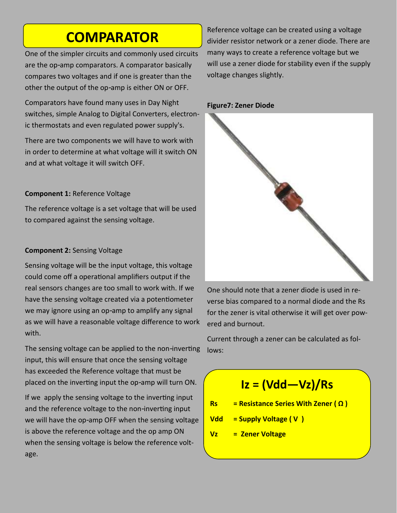### **COMPARATOR**

One of the simpler circuits and commonly used circuits are the op-amp comparators. A comparator basically compares two voltages and if one is greater than the other the output of the op-amp is either ON or OFF.

Comparators have found many uses in Day Night switches, simple Analog to Digital Converters, electronic thermostats and even regulated power supply's.

There are two components we will have to work with in order to determine at what voltage will it switch ON and at what voltage it will switch OFF.

### **Component 1:** Reference Voltage

The reference voltage is a set voltage that will be used to compared against the sensing voltage.

### **Component 2:** Sensing Voltage

Sensing voltage will be the input voltage, this voltage could come off a operational amplifiers output if the real sensors changes are too small to work with. If we have the sensing voltage created via a potentiometer we may ignore using an op-amp to amplify any signal as we will have a reasonable voltage difference to work with.

The sensing voltage can be applied to the non-inverting input, this will ensure that once the sensing voltage has exceeded the Reference voltage that must be placed on the inverting input the op-amp will turn ON.

If we apply the sensing voltage to the inverting input and the reference voltage to the non-inverting input we will have the op-amp OFF when the sensing voltage is above the reference voltage and the op amp ON when the sensing voltage is below the reference voltage.

Reference voltage can be created using a voltage divider resistor network or a zener diode. There are many ways to create a reference voltage but we will use a zener diode for stability even if the supply voltage changes slightly.

### **Figure7: Zener Diode**



One should note that a zener diode is used in reverse bias compared to a normal diode and the Rs for the zener is vital otherwise it will get over powered and burnout.

Current through a zener can be calculated as follows:

### **Iz = (Vdd—Vz)/Rs**

- **Rs = Resistance Series With Zener ( Ω )**
- **Vdd = Supply Voltage ( V )**
- **Vz = Zener Voltage**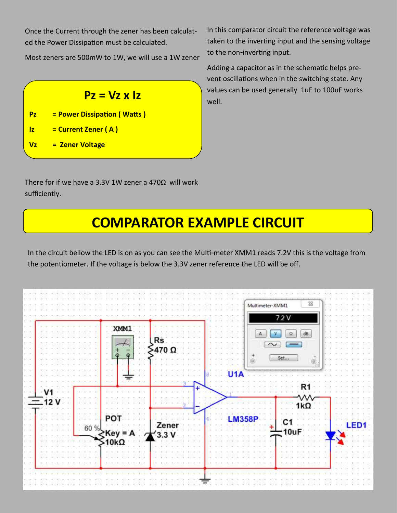Once the Current through the zener has been calculated the Power Dissipation must be calculated.

Most zeners are 500mW to 1W, we will use a 1W zener

### $Pz = Vz \times Iz$  well.

- **Pz = Power Dissipation ( Watts )**
- **Iz = Current Zener ( A )**
- **Vz = Zener Voltage**

In this comparator circuit the reference voltage was taken to the inverting input and the sensing voltage to the non-inverting input.

Adding a capacitor as in the schematic helps prevent oscillations when in the switching state. Any values can be used generally 1uF to 100uF works

There for if we have a 3.3V 1W zener a 470Ω will work sufficiently.

## **COMPARATOR EXAMPLE CIRCUIT**

In the circuit bellow the LED is on as you can see the Multi-meter XMM1 reads 7.2V this is the voltage from the potentiometer. If the voltage is below the 3.3V zener reference the LED will be off.

|     |                          |      | XMM1                                             | Rs<br>-470       |                  | Multimeter-XMM1<br>7.2V<br>$\Omega$<br>$\sim$<br>浊<br>Set<br>ö, | 23<br>dB<br>$\bar{\circ}$ |  |
|-----|--------------------------|------|--------------------------------------------------|------------------|------------------|-----------------------------------------------------------------|---------------------------|--|
|     | $\cdot$ V1<br>$=$ 12 $V$ | 60 % | <b>POT</b>                                       |                  | U <sub>1</sub> A | 358P<br>C <sub>1</sub>                                          | R<br>vν<br>$1k\Omega$     |  |
| £09 |                          |      | $\begin{cases} Key = A \\ 10k\Omega \end{cases}$ | $\frac{2}{3.3}V$ |                  | 10uF                                                            |                           |  |